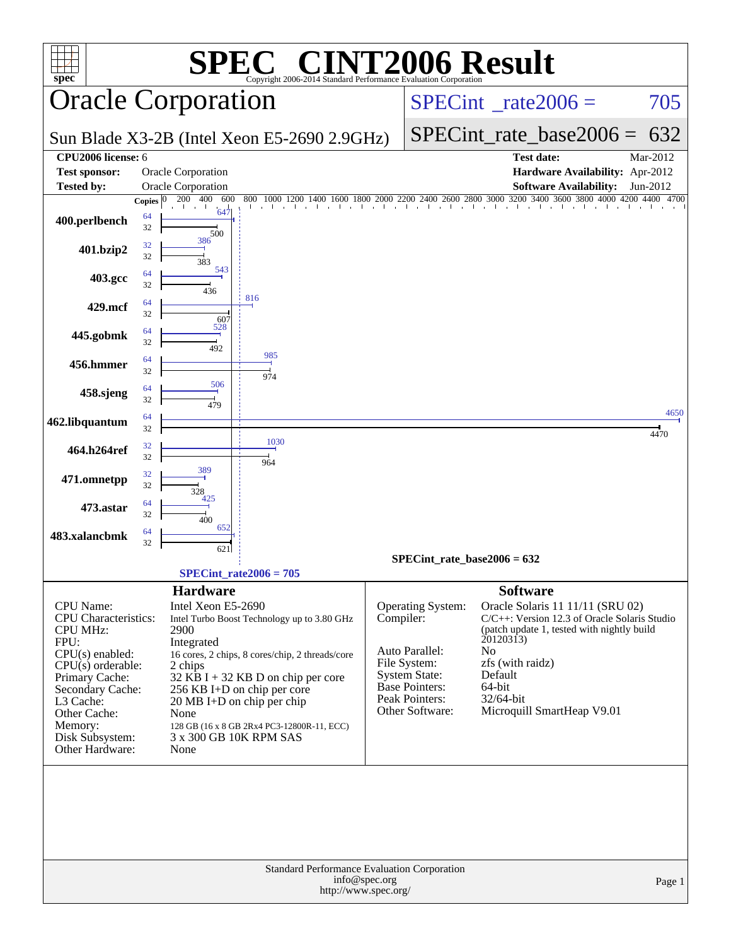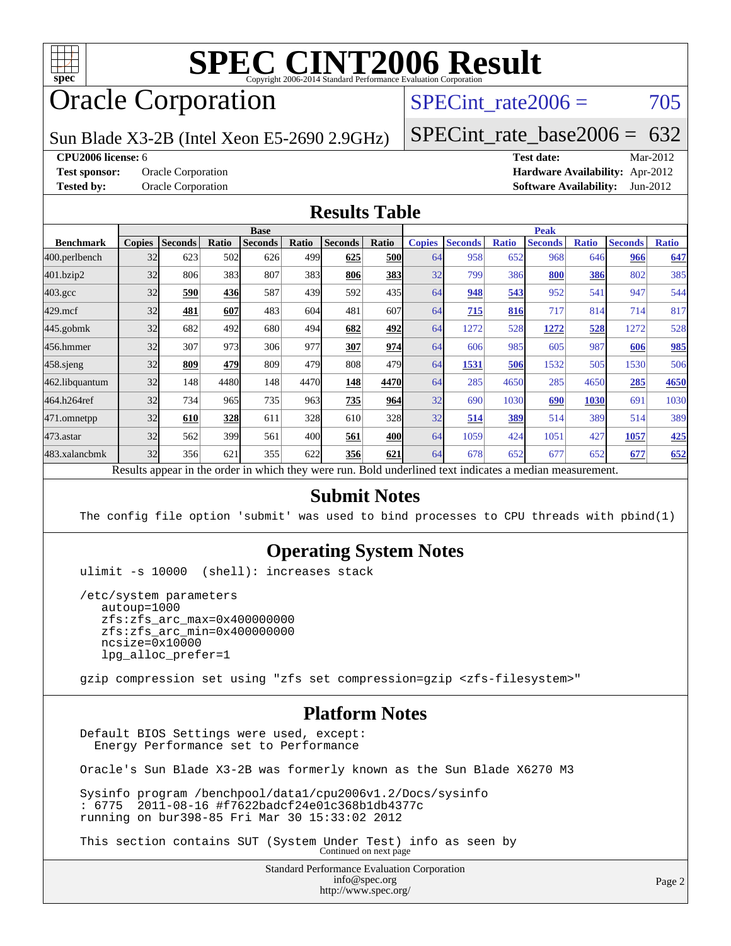

# Oracle Corporation

SPECint rate $2006 = 705$ 

Sun Blade X3-2B (Intel Xeon E5-2690 2.9GHz)

[SPECint\\_rate\\_base2006 =](http://www.spec.org/auto/cpu2006/Docs/result-fields.html#SPECintratebase2006) 632

**[CPU2006 license:](http://www.spec.org/auto/cpu2006/Docs/result-fields.html#CPU2006license)** 6 **[Test date:](http://www.spec.org/auto/cpu2006/Docs/result-fields.html#Testdate)** Mar-2012

**[Test sponsor:](http://www.spec.org/auto/cpu2006/Docs/result-fields.html#Testsponsor)** Oracle Corporation **[Hardware Availability:](http://www.spec.org/auto/cpu2006/Docs/result-fields.html#HardwareAvailability)** Apr-2012 **[Tested by:](http://www.spec.org/auto/cpu2006/Docs/result-fields.html#Testedby)** Oracle Corporation **[Software Availability:](http://www.spec.org/auto/cpu2006/Docs/result-fields.html#SoftwareAvailability)** Jun-2012

#### **[Results Table](http://www.spec.org/auto/cpu2006/Docs/result-fields.html#ResultsTable)**

| <b>Base</b>   |                |       |                |                                                                            | <b>Peak</b>    |                                                                                   |                                                                                                                                 |                                                                                   |                      |                |                                                      |                |                                                |
|---------------|----------------|-------|----------------|----------------------------------------------------------------------------|----------------|-----------------------------------------------------------------------------------|---------------------------------------------------------------------------------------------------------------------------------|-----------------------------------------------------------------------------------|----------------------|----------------|------------------------------------------------------|----------------|------------------------------------------------|
| <b>Copies</b> | <b>Seconds</b> | Ratio | <b>Seconds</b> | Ratio                                                                      | <b>Seconds</b> | Ratio                                                                             | <b>Copies</b>                                                                                                                   | <b>Seconds</b>                                                                    | <b>Ratio</b>         | <b>Seconds</b> | <b>Ratio</b>                                         | <b>Seconds</b> | <b>Ratio</b>                                   |
| 32            | 623            |       | 626            |                                                                            | 625            |                                                                                   |                                                                                                                                 | 958                                                                               | 652                  | 968            |                                                      | 966            | 647                                            |
| 32            | 806            |       | 807            |                                                                            | 806            |                                                                                   | 32                                                                                                                              | 799                                                                               | 386                  | 800            |                                                      | 802            | 385                                            |
| 32            | 590            |       | 587            |                                                                            | 592            |                                                                                   | 64                                                                                                                              | 948                                                                               | 543                  | 952            | 541                                                  | 947            | 544                                            |
| 32            | 481            | 607   | 483            |                                                                            | 481            |                                                                                   | 64                                                                                                                              | 715                                                                               |                      | 717            |                                                      | 714            | 817                                            |
| 32            | 682            |       | 680            |                                                                            | 682            |                                                                                   | 64                                                                                                                              | 1272                                                                              | 528                  | 1272           | 528                                                  | 1272           | 528                                            |
| 32            | 307            |       | 306            |                                                                            | 307            |                                                                                   |                                                                                                                                 | 606                                                                               | 985                  | 605            |                                                      | 606            | 985                                            |
| 32            | 809            |       | 809            |                                                                            | 808            |                                                                                   | 64                                                                                                                              | 1531                                                                              | 506                  | 1532           |                                                      | 1530           | 506                                            |
| 32            | 148            |       | 148            |                                                                            | 148            |                                                                                   |                                                                                                                                 | 285                                                                               | 4650                 | 285            |                                                      | 285            | 4650                                           |
| 32            | 734            |       | 735            |                                                                            | 735            |                                                                                   | 32                                                                                                                              | 690                                                                               | 1030                 | 690            | 1030                                                 | 691            | 1030                                           |
| 32            | 610            |       | 611            |                                                                            | 610            |                                                                                   | 32                                                                                                                              | 514                                                                               | 389                  | 514            |                                                      | 514            | 389                                            |
| 32            | 562            |       | 561            |                                                                            | 561            |                                                                                   | 64                                                                                                                              | 1059                                                                              | 424                  | 1051           | 427                                                  | 1057           | 425                                            |
| 32            | 356            |       | 355            |                                                                            | 356            | 621                                                                               |                                                                                                                                 | 678                                                                               | 652                  | 677            | 652                                                  | 677            | 652                                            |
|               |                |       |                | 502<br>383<br>436<br>492<br>973<br>479<br>4480<br>965<br>328<br>399<br>621 |                | 499<br>383<br>439<br>604<br>494<br>977<br>479<br>4470<br>963<br>328<br>400<br>622 | $\mathbf{D}$ and $\mathbf{L}$ and $\mathbf{L}$<br>المعاقب محافظ والمساحي<br>المتمس المستحدث والمحالة المالحان والمناقص<br>1.241 | <b>500</b><br>383<br>435<br>607<br>492<br>974<br>479<br>4470<br>964<br>328<br>400 | 64<br>64<br>64<br>64 |                | 816<br>Dald and called to almost indicates a madison |                | 646<br>386<br>814<br>987<br>505<br>4650<br>389 |

Results appear in the [order in which they were run.](http://www.spec.org/auto/cpu2006/Docs/result-fields.html#RunOrder) Bold underlined text [indicates a median measurement.](http://www.spec.org/auto/cpu2006/Docs/result-fields.html#Median)

#### **[Submit Notes](http://www.spec.org/auto/cpu2006/Docs/result-fields.html#SubmitNotes)**

The config file option 'submit' was used to bind processes to CPU threads with pbind(1)

#### **[Operating System Notes](http://www.spec.org/auto/cpu2006/Docs/result-fields.html#OperatingSystemNotes)**

ulimit -s 10000 (shell): increases stack

 /etc/system parameters autoup=1000 zfs:zfs\_arc\_max=0x400000000 zfs:zfs\_arc\_min=0x400000000 ncsize=0x10000 lpg\_alloc\_prefer=1

gzip compression set using "zfs set compression=gzip <zfs-filesystem>"

#### **[Platform Notes](http://www.spec.org/auto/cpu2006/Docs/result-fields.html#PlatformNotes)**

 Default BIOS Settings were used, except: Energy Performance set to Performance

Oracle's Sun Blade X3-2B was formerly known as the Sun Blade X6270 M3

 Sysinfo program /benchpool/data1/cpu2006v1.2/Docs/sysinfo : 6775 2011-08-16 #f7622badcf24e01c368b1db4377c running on bur398-85 Fri Mar 30 15:33:02 2012

This section contains SUT (System Under Test) info as seen by Continued on next page

Standard Performance Evaluation Corporation [info@spec.org](mailto:info@spec.org) <http://www.spec.org/>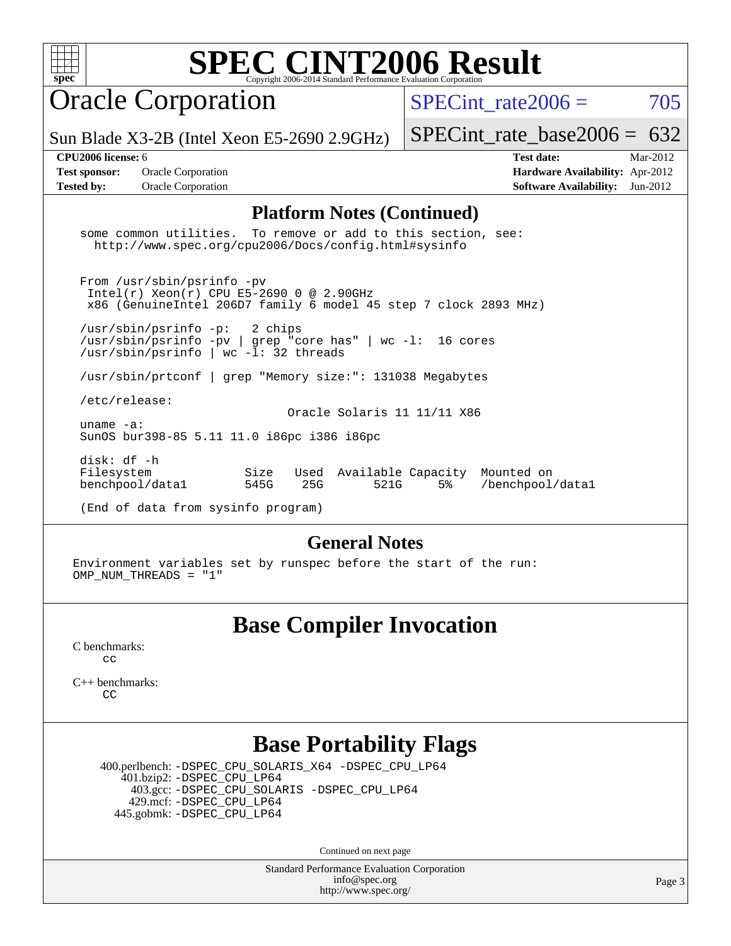Oracle Corporation

SPECint rate $2006 = 705$ 

Sun Blade X3-2B (Intel Xeon E5-2690 2.9GHz)

[SPECint\\_rate\\_base2006 =](http://www.spec.org/auto/cpu2006/Docs/result-fields.html#SPECintratebase2006)  $632$ 

**[Tested by:](http://www.spec.org/auto/cpu2006/Docs/result-fields.html#Testedby)** Oracle Corporation **[Software Availability:](http://www.spec.org/auto/cpu2006/Docs/result-fields.html#SoftwareAvailability)** Jun-2012

**[CPU2006 license:](http://www.spec.org/auto/cpu2006/Docs/result-fields.html#CPU2006license)** 6 **[Test date:](http://www.spec.org/auto/cpu2006/Docs/result-fields.html#Testdate)** Mar-2012 **[Test sponsor:](http://www.spec.org/auto/cpu2006/Docs/result-fields.html#Testsponsor)** Oracle Corporation **[Hardware Availability:](http://www.spec.org/auto/cpu2006/Docs/result-fields.html#HardwareAvailability)** Apr-2012

#### **[Platform Notes \(Continued\)](http://www.spec.org/auto/cpu2006/Docs/result-fields.html#PlatformNotes)**

 some common utilities. To remove or add to this section, see: <http://www.spec.org/cpu2006/Docs/config.html#sysinfo>

 From /usr/sbin/psrinfo -pv Intel(r) Xeon(r) CPU E5-2690 0 @ 2.90GHz x86 (GenuineIntel 206D7 family 6 model 45 step 7 clock 2893 MHz)

 /usr/sbin/psrinfo -p: 2 chips /usr/sbin/psrinfo -pv | grep "core has" | wc -l: 16 cores /usr/sbin/psrinfo | wc -l: 32 threads

/usr/sbin/prtconf | grep "Memory size:": 131038 Megabytes

/etc/release:

 Oracle Solaris 11 11/11 X86 uname -a:

SunOS bur398-85 5.11 11.0 i86pc i386 i86pc

 disk: df -h Filesystem Size Used Available Capacity Mounted on benchpool/data1 545G 25G 521G 5% /benchpool/data1

(End of data from sysinfo program)

#### **[General Notes](http://www.spec.org/auto/cpu2006/Docs/result-fields.html#GeneralNotes)**

Environment variables set by runspec before the start of the run: OMP\_NUM\_THREADS = "1"

## **[Base Compiler Invocation](http://www.spec.org/auto/cpu2006/Docs/result-fields.html#BaseCompilerInvocation)**

[C benchmarks](http://www.spec.org/auto/cpu2006/Docs/result-fields.html#Cbenchmarks): [cc](http://www.spec.org/cpu2006/results/res2012q3/cpu2006-20120710-23577.flags.html#user_CCbase_solaris_studio_cc)

[C++ benchmarks:](http://www.spec.org/auto/cpu2006/Docs/result-fields.html#CXXbenchmarks) [CC](http://www.spec.org/cpu2006/results/res2012q3/cpu2006-20120710-23577.flags.html#user_CXXbase_solaris_studio_CC)

## **[Base Portability Flags](http://www.spec.org/auto/cpu2006/Docs/result-fields.html#BasePortabilityFlags)**

 400.perlbench: [-DSPEC\\_CPU\\_SOLARIS\\_X64](http://www.spec.org/cpu2006/results/res2012q3/cpu2006-20120710-23577.flags.html#b400.perlbench_baseCPORTABILITY_DSPEC_CPU_SOLARIS_X64) [-DSPEC\\_CPU\\_LP64](http://www.spec.org/cpu2006/results/res2012q3/cpu2006-20120710-23577.flags.html#b400.perlbench_baseEXTRA_CPORTABILITY_DSPEC_CPU_LP64) 401.bzip2: [-DSPEC\\_CPU\\_LP64](http://www.spec.org/cpu2006/results/res2012q3/cpu2006-20120710-23577.flags.html#suite_baseEXTRA_CPORTABILITY401_bzip2_DSPEC_CPU_LP64) 403.gcc: [-DSPEC\\_CPU\\_SOLARIS](http://www.spec.org/cpu2006/results/res2012q3/cpu2006-20120710-23577.flags.html#b403.gcc_baseCPORTABILITY_DSPEC_CPU_SOLARIS) [-DSPEC\\_CPU\\_LP64](http://www.spec.org/cpu2006/results/res2012q3/cpu2006-20120710-23577.flags.html#suite_baseEXTRA_CPORTABILITY403_gcc_DSPEC_CPU_LP64) 429.mcf: [-DSPEC\\_CPU\\_LP64](http://www.spec.org/cpu2006/results/res2012q3/cpu2006-20120710-23577.flags.html#suite_baseEXTRA_CPORTABILITY429_mcf_DSPEC_CPU_LP64) 445.gobmk: [-DSPEC\\_CPU\\_LP64](http://www.spec.org/cpu2006/results/res2012q3/cpu2006-20120710-23577.flags.html#suite_baseEXTRA_CPORTABILITY445_gobmk_DSPEC_CPU_LP64)

Continued on next page

Standard Performance Evaluation Corporation [info@spec.org](mailto:info@spec.org) <http://www.spec.org/>

Page 3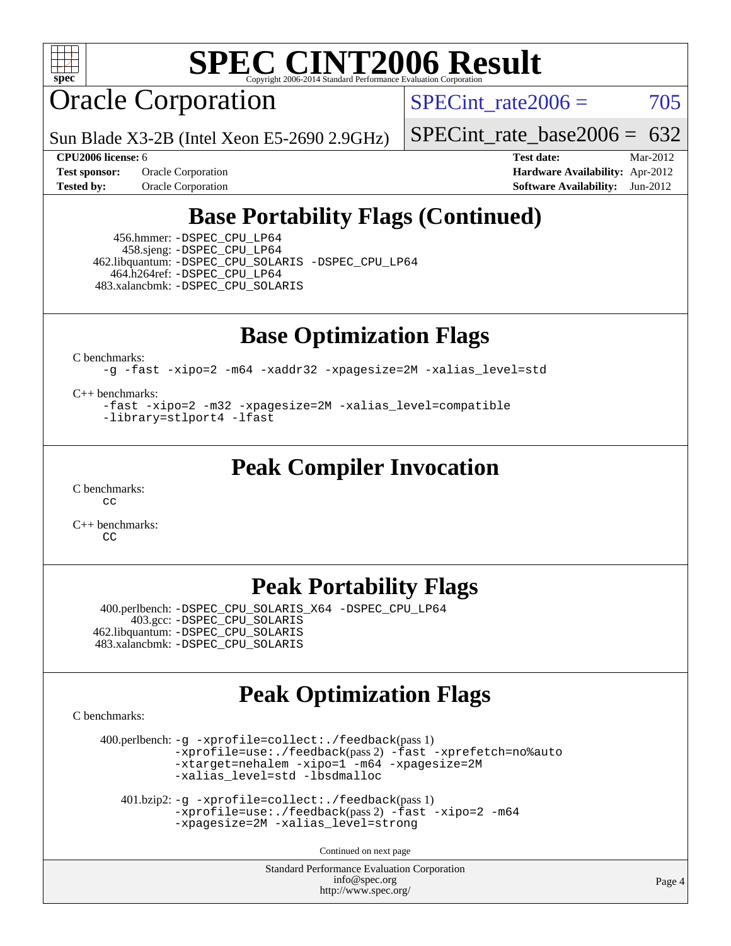

Oracle Corporation

SPECint rate $2006 = 705$ 

Sun Blade X3-2B (Intel Xeon E5-2690 2.9GHz)

[SPECint\\_rate\\_base2006 =](http://www.spec.org/auto/cpu2006/Docs/result-fields.html#SPECintratebase2006)  $632$ 

**[Tested by:](http://www.spec.org/auto/cpu2006/Docs/result-fields.html#Testedby)** Oracle Corporation **[Software Availability:](http://www.spec.org/auto/cpu2006/Docs/result-fields.html#SoftwareAvailability)** Jun-2012

**[CPU2006 license:](http://www.spec.org/auto/cpu2006/Docs/result-fields.html#CPU2006license)** 6 **[Test date:](http://www.spec.org/auto/cpu2006/Docs/result-fields.html#Testdate)** Mar-2012 **[Test sponsor:](http://www.spec.org/auto/cpu2006/Docs/result-fields.html#Testsponsor)** Oracle Corporation **[Hardware Availability:](http://www.spec.org/auto/cpu2006/Docs/result-fields.html#HardwareAvailability)** Apr-2012

## **[Base Portability Flags \(Continued\)](http://www.spec.org/auto/cpu2006/Docs/result-fields.html#BasePortabilityFlags)**

 456.hmmer: [-DSPEC\\_CPU\\_LP64](http://www.spec.org/cpu2006/results/res2012q3/cpu2006-20120710-23577.flags.html#suite_baseEXTRA_CPORTABILITY456_hmmer_DSPEC_CPU_LP64) 458.sjeng: [-DSPEC\\_CPU\\_LP64](http://www.spec.org/cpu2006/results/res2012q3/cpu2006-20120710-23577.flags.html#suite_baseEXTRA_CPORTABILITY458_sjeng_DSPEC_CPU_LP64) 462.libquantum: [-DSPEC\\_CPU\\_SOLARIS](http://www.spec.org/cpu2006/results/res2012q3/cpu2006-20120710-23577.flags.html#b462.libquantum_baseCPORTABILITY_DSPEC_CPU_SOLARIS) [-DSPEC\\_CPU\\_LP64](http://www.spec.org/cpu2006/results/res2012q3/cpu2006-20120710-23577.flags.html#suite_baseEXTRA_CPORTABILITY462_libquantum_DSPEC_CPU_LP64) 464.h264ref: [-DSPEC\\_CPU\\_LP64](http://www.spec.org/cpu2006/results/res2012q3/cpu2006-20120710-23577.flags.html#suite_baseEXTRA_CPORTABILITY464_h264ref_DSPEC_CPU_LP64) 483.xalancbmk: [-DSPEC\\_CPU\\_SOLARIS](http://www.spec.org/cpu2006/results/res2012q3/cpu2006-20120710-23577.flags.html#b483.xalancbmk_baseCXXPORTABILITY_DSPEC_CPU_SOLARIS)

**[Base Optimization Flags](http://www.spec.org/auto/cpu2006/Docs/result-fields.html#BaseOptimizationFlags)**

[C benchmarks](http://www.spec.org/auto/cpu2006/Docs/result-fields.html#Cbenchmarks):

[-g](http://www.spec.org/cpu2006/results/res2012q3/cpu2006-20120710-23577.flags.html#user_CCbase_F-g) [-fast](http://www.spec.org/cpu2006/results/res2012q3/cpu2006-20120710-23577.flags.html#user_CCbase_fast_cc) [-xipo=2](http://www.spec.org/cpu2006/results/res2012q3/cpu2006-20120710-23577.flags.html#user_CCbase_xipo_5e3708e8f61bc7c7cade0f8c4dada1db) [-m64](http://www.spec.org/cpu2006/results/res2012q3/cpu2006-20120710-23577.flags.html#user_CCbase_F-m64) [-xaddr32](http://www.spec.org/cpu2006/results/res2012q3/cpu2006-20120710-23577.flags.html#user_CCbase_xaddr32_1b1979350869d4d2abbce2a005c6342f) [-xpagesize=2M](http://www.spec.org/cpu2006/results/res2012q3/cpu2006-20120710-23577.flags.html#user_CCbase_xpagesize_f50b67cca4ef3b24ae5e9aaf0af70b7e) [-xalias\\_level=std](http://www.spec.org/cpu2006/results/res2012q3/cpu2006-20120710-23577.flags.html#user_CCbase_xalias_level_cc_ed12b6aa9cc1ccf9ee8329664a2d2066)

[C++ benchmarks:](http://www.spec.org/auto/cpu2006/Docs/result-fields.html#CXXbenchmarks)

[-fast](http://www.spec.org/cpu2006/results/res2012q3/cpu2006-20120710-23577.flags.html#user_CXXbase_fast_CC) [-xipo=2](http://www.spec.org/cpu2006/results/res2012q3/cpu2006-20120710-23577.flags.html#user_CXXbase_xipo_5e3708e8f61bc7c7cade0f8c4dada1db) [-m32](http://www.spec.org/cpu2006/results/res2012q3/cpu2006-20120710-23577.flags.html#user_CXXbase_F-m32) [-xpagesize=2M](http://www.spec.org/cpu2006/results/res2012q3/cpu2006-20120710-23577.flags.html#user_CXXbase_xpagesize_f50b67cca4ef3b24ae5e9aaf0af70b7e) [-xalias\\_level=compatible](http://www.spec.org/cpu2006/results/res2012q3/cpu2006-20120710-23577.flags.html#user_CXXbase_xalias_level_CC_96f159d8d9a7543292667cc08592323e) [-library=stlport4](http://www.spec.org/cpu2006/results/res2012q3/cpu2006-20120710-23577.flags.html#user_CXXbase_F-lstlport4_b8e913805c6afc3a45e676d2e2070a28) [-lfast](http://www.spec.org/cpu2006/results/res2012q3/cpu2006-20120710-23577.flags.html#user_CXXbase_F-lfast)

## **[Peak Compiler Invocation](http://www.spec.org/auto/cpu2006/Docs/result-fields.html#PeakCompilerInvocation)**

[C benchmarks](http://www.spec.org/auto/cpu2006/Docs/result-fields.html#Cbenchmarks): [cc](http://www.spec.org/cpu2006/results/res2012q3/cpu2006-20120710-23577.flags.html#user_CCpeak_solaris_studio_cc)

[C++ benchmarks:](http://www.spec.org/auto/cpu2006/Docs/result-fields.html#CXXbenchmarks)  $\Gamma$ 

## **[Peak Portability Flags](http://www.spec.org/auto/cpu2006/Docs/result-fields.html#PeakPortabilityFlags)**

 400.perlbench: [-DSPEC\\_CPU\\_SOLARIS\\_X64](http://www.spec.org/cpu2006/results/res2012q3/cpu2006-20120710-23577.flags.html#b400.perlbench_peakCPORTABILITY_DSPEC_CPU_SOLARIS_X64) [-DSPEC\\_CPU\\_LP64](http://www.spec.org/cpu2006/results/res2012q3/cpu2006-20120710-23577.flags.html#b400.perlbench_peakCPORTABILITY_DSPEC_CPU_LP64) 403.gcc: [-DSPEC\\_CPU\\_SOLARIS](http://www.spec.org/cpu2006/results/res2012q3/cpu2006-20120710-23577.flags.html#b403.gcc_peakCPORTABILITY_DSPEC_CPU_SOLARIS) 462.libquantum: [-DSPEC\\_CPU\\_SOLARIS](http://www.spec.org/cpu2006/results/res2012q3/cpu2006-20120710-23577.flags.html#b462.libquantum_peakCPORTABILITY_DSPEC_CPU_SOLARIS) 483.xalancbmk: [-DSPEC\\_CPU\\_SOLARIS](http://www.spec.org/cpu2006/results/res2012q3/cpu2006-20120710-23577.flags.html#b483.xalancbmk_peakCXXPORTABILITY_DSPEC_CPU_SOLARIS)

## **[Peak Optimization Flags](http://www.spec.org/auto/cpu2006/Docs/result-fields.html#PeakOptimizationFlags)**

[C benchmarks](http://www.spec.org/auto/cpu2006/Docs/result-fields.html#Cbenchmarks):

 400.perlbench: [-g](http://www.spec.org/cpu2006/results/res2012q3/cpu2006-20120710-23577.flags.html#user_peakCCLD400_perlbench_F-g) [-xprofile=collect:./feedback](http://www.spec.org/cpu2006/results/res2012q3/cpu2006-20120710-23577.flags.html#user_peakPASS1_CFLAGSPASS1_LDFLAGS400_perlbench_xprofile_collect_eb7600ff49c156e08b79eda146723f7d)(pass 1) [-xprofile=use:./feedback](http://www.spec.org/cpu2006/results/res2012q3/cpu2006-20120710-23577.flags.html#user_peakPASS2_CFLAGSPASS2_LDFLAGS400_perlbench_xprofile_use_2c7da09021590254e061b7043891e3f2)(pass 2) [-fast](http://www.spec.org/cpu2006/results/res2012q3/cpu2006-20120710-23577.flags.html#user_peakOPTIMIZE400_perlbench_fast_cc) [-xprefetch=no%auto](http://www.spec.org/cpu2006/results/res2012q3/cpu2006-20120710-23577.flags.html#user_peakOPTIMIZE400_perlbench_xprefetch_aadf369b144f677b141e4051b7b2a0c9) [-xtarget=nehalem](http://www.spec.org/cpu2006/results/res2012q3/cpu2006-20120710-23577.flags.html#user_peakOPTIMIZE400_perlbench_xtarget_74860a595ffaa63cd4d8626087837745) [-xipo=1](http://www.spec.org/cpu2006/results/res2012q3/cpu2006-20120710-23577.flags.html#user_peakOPTIMIZE400_perlbench_xipo_244aeef1b109ad561a752b1a22d45e94) [-m64](http://www.spec.org/cpu2006/results/res2012q3/cpu2006-20120710-23577.flags.html#user_peakOPTIMIZE400_perlbench_F-m64) [-xpagesize=2M](http://www.spec.org/cpu2006/results/res2012q3/cpu2006-20120710-23577.flags.html#user_peakOPTIMIZE400_perlbench_xpagesize_f50b67cca4ef3b24ae5e9aaf0af70b7e) [-xalias\\_level=std](http://www.spec.org/cpu2006/results/res2012q3/cpu2006-20120710-23577.flags.html#user_peakOPTIMIZE400_perlbench_xalias_level_cc_ed12b6aa9cc1ccf9ee8329664a2d2066) [-lbsdmalloc](http://www.spec.org/cpu2006/results/res2012q3/cpu2006-20120710-23577.flags.html#user_peakEXTRA_CFLAGSEXTRA_LIBS400_perlbench_F-lbsdmalloc)

```
 401.bzip2: -g -xprofile=collect:./feedback(pass 1)
-xprofile=use:./feedback-fast-xipo=2-m64
-xpagesize=2M -xalias_level=strong
```
Continued on next page

Standard Performance Evaluation Corporation [info@spec.org](mailto:info@spec.org) <http://www.spec.org/>

Page 4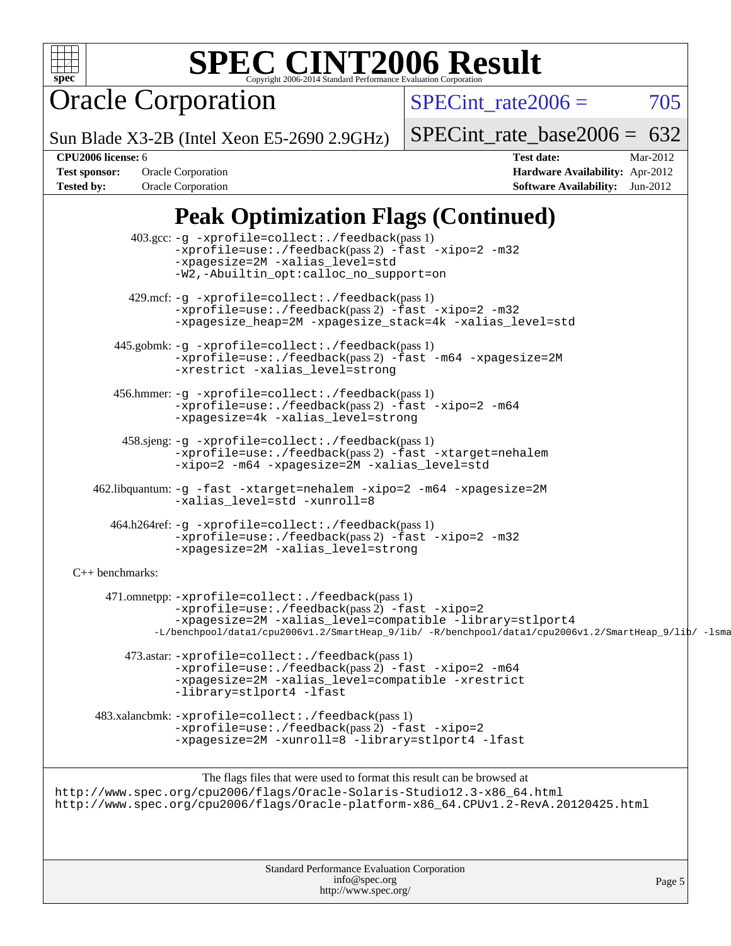

Oracle Corporation

SPECint rate $2006 = 705$ 

Sun Blade X3-2B (Intel Xeon E5-2690 2.9GHz)

[SPECint\\_rate\\_base2006 =](http://www.spec.org/auto/cpu2006/Docs/result-fields.html#SPECintratebase2006)  $632$ 

**[CPU2006 license:](http://www.spec.org/auto/cpu2006/Docs/result-fields.html#CPU2006license)** 6 **[Test date:](http://www.spec.org/auto/cpu2006/Docs/result-fields.html#Testdate)** Mar-2012 **[Test sponsor:](http://www.spec.org/auto/cpu2006/Docs/result-fields.html#Testsponsor)** Oracle Corporation **[Hardware Availability:](http://www.spec.org/auto/cpu2006/Docs/result-fields.html#HardwareAvailability)** Apr-2012 **[Tested by:](http://www.spec.org/auto/cpu2006/Docs/result-fields.html#Testedby)** Oracle Corporation **[Software Availability:](http://www.spec.org/auto/cpu2006/Docs/result-fields.html#SoftwareAvailability)** Jun-2012

# **[Peak Optimization Flags \(Continued\)](http://www.spec.org/auto/cpu2006/Docs/result-fields.html#PeakOptimizationFlags)**

 403.gcc: [-g](http://www.spec.org/cpu2006/results/res2012q3/cpu2006-20120710-23577.flags.html#user_peakCCLD403_gcc_F-g) [-xprofile=collect:./feedback](http://www.spec.org/cpu2006/results/res2012q3/cpu2006-20120710-23577.flags.html#user_peakPASS1_CFLAGSPASS1_LDFLAGS403_gcc_xprofile_collect_eb7600ff49c156e08b79eda146723f7d)(pass 1) [-xprofile=use:./feedback](http://www.spec.org/cpu2006/results/res2012q3/cpu2006-20120710-23577.flags.html#user_peakPASS2_CFLAGSPASS2_LDFLAGS403_gcc_xprofile_use_2c7da09021590254e061b7043891e3f2)(pass 2) [-fast](http://www.spec.org/cpu2006/results/res2012q3/cpu2006-20120710-23577.flags.html#user_peakOPTIMIZE403_gcc_fast_cc) [-xipo=2](http://www.spec.org/cpu2006/results/res2012q3/cpu2006-20120710-23577.flags.html#user_peakOPTIMIZE403_gcc_xipo_5e3708e8f61bc7c7cade0f8c4dada1db) [-m32](http://www.spec.org/cpu2006/results/res2012q3/cpu2006-20120710-23577.flags.html#user_peakOPTIMIZE403_gcc_F-m32) [-xpagesize=2M](http://www.spec.org/cpu2006/results/res2012q3/cpu2006-20120710-23577.flags.html#user_peakOPTIMIZE403_gcc_xpagesize_f50b67cca4ef3b24ae5e9aaf0af70b7e) [-xalias\\_level=std](http://www.spec.org/cpu2006/results/res2012q3/cpu2006-20120710-23577.flags.html#user_peakOPTIMIZE403_gcc_xalias_level_cc_ed12b6aa9cc1ccf9ee8329664a2d2066) [-W2,-Abuiltin\\_opt:calloc\\_no\\_support=on](http://www.spec.org/cpu2006/results/res2012q3/cpu2006-20120710-23577.flags.html#user_peakOPTIMIZE403_gcc_Abuiltin_opt) 429.mcf: [-g](http://www.spec.org/cpu2006/results/res2012q3/cpu2006-20120710-23577.flags.html#user_peakCCLD429_mcf_F-g) [-xprofile=collect:./feedback](http://www.spec.org/cpu2006/results/res2012q3/cpu2006-20120710-23577.flags.html#user_peakPASS1_CFLAGSPASS1_LDFLAGS429_mcf_xprofile_collect_eb7600ff49c156e08b79eda146723f7d)(pass 1) [-xprofile=use:./feedback](http://www.spec.org/cpu2006/results/res2012q3/cpu2006-20120710-23577.flags.html#user_peakPASS2_CFLAGSPASS2_LDFLAGS429_mcf_xprofile_use_2c7da09021590254e061b7043891e3f2)(pass 2) [-fast](http://www.spec.org/cpu2006/results/res2012q3/cpu2006-20120710-23577.flags.html#user_peakOPTIMIZE429_mcf_fast_cc) [-xipo=2](http://www.spec.org/cpu2006/results/res2012q3/cpu2006-20120710-23577.flags.html#user_peakOPTIMIZE429_mcf_xipo_5e3708e8f61bc7c7cade0f8c4dada1db) [-m32](http://www.spec.org/cpu2006/results/res2012q3/cpu2006-20120710-23577.flags.html#user_peakOPTIMIZE429_mcf_F-m32) [-xpagesize\\_heap=2M](http://www.spec.org/cpu2006/results/res2012q3/cpu2006-20120710-23577.flags.html#user_peakOPTIMIZE429_mcf_xpagesize_heap_e7f94a5c9f76e81e1b7b073eceb45dfd) [-xpagesize\\_stack=4k](http://www.spec.org/cpu2006/results/res2012q3/cpu2006-20120710-23577.flags.html#user_peakOPTIMIZE429_mcf_xpagesize_stack_7f9fa7b61af8c046804ca7ca7e53740a) [-xalias\\_level=std](http://www.spec.org/cpu2006/results/res2012q3/cpu2006-20120710-23577.flags.html#user_peakOPTIMIZE429_mcf_xalias_level_cc_ed12b6aa9cc1ccf9ee8329664a2d2066) 445.gobmk: [-g](http://www.spec.org/cpu2006/results/res2012q3/cpu2006-20120710-23577.flags.html#user_peakCCLD445_gobmk_F-g) [-xprofile=collect:./feedback](http://www.spec.org/cpu2006/results/res2012q3/cpu2006-20120710-23577.flags.html#user_peakPASS1_CFLAGSPASS1_LDFLAGS445_gobmk_xprofile_collect_eb7600ff49c156e08b79eda146723f7d)(pass 1) [-xprofile=use:./feedback](http://www.spec.org/cpu2006/results/res2012q3/cpu2006-20120710-23577.flags.html#user_peakPASS2_CFLAGSPASS2_LDFLAGS445_gobmk_xprofile_use_2c7da09021590254e061b7043891e3f2)(pass 2) [-fast](http://www.spec.org/cpu2006/results/res2012q3/cpu2006-20120710-23577.flags.html#user_peakOPTIMIZE445_gobmk_fast_cc) [-m64](http://www.spec.org/cpu2006/results/res2012q3/cpu2006-20120710-23577.flags.html#user_peakOPTIMIZE445_gobmk_F-m64) [-xpagesize=2M](http://www.spec.org/cpu2006/results/res2012q3/cpu2006-20120710-23577.flags.html#user_peakOPTIMIZE445_gobmk_xpagesize_f50b67cca4ef3b24ae5e9aaf0af70b7e) [-xrestrict](http://www.spec.org/cpu2006/results/res2012q3/cpu2006-20120710-23577.flags.html#user_peakOPTIMIZE445_gobmk_F-xrestrict) [-xalias\\_level=strong](http://www.spec.org/cpu2006/results/res2012q3/cpu2006-20120710-23577.flags.html#user_peakOPTIMIZE445_gobmk_xalias_level_cc_55f5e21d5175f1806f53f2825faa86c9) 456.hmmer: [-g](http://www.spec.org/cpu2006/results/res2012q3/cpu2006-20120710-23577.flags.html#user_peakCCLD456_hmmer_F-g) [-xprofile=collect:./feedback](http://www.spec.org/cpu2006/results/res2012q3/cpu2006-20120710-23577.flags.html#user_peakPASS1_CFLAGSPASS1_LDFLAGS456_hmmer_xprofile_collect_eb7600ff49c156e08b79eda146723f7d)(pass 1) [-xprofile=use:./feedback](http://www.spec.org/cpu2006/results/res2012q3/cpu2006-20120710-23577.flags.html#user_peakPASS2_CFLAGSPASS2_LDFLAGS456_hmmer_xprofile_use_2c7da09021590254e061b7043891e3f2)(pass 2) [-fast](http://www.spec.org/cpu2006/results/res2012q3/cpu2006-20120710-23577.flags.html#user_peakOPTIMIZE456_hmmer_fast_cc) [-xipo=2](http://www.spec.org/cpu2006/results/res2012q3/cpu2006-20120710-23577.flags.html#user_peakOPTIMIZE456_hmmer_xipo_5e3708e8f61bc7c7cade0f8c4dada1db) [-m64](http://www.spec.org/cpu2006/results/res2012q3/cpu2006-20120710-23577.flags.html#user_peakOPTIMIZE456_hmmer_F-m64) [-xpagesize=4k](http://www.spec.org/cpu2006/results/res2012q3/cpu2006-20120710-23577.flags.html#user_peakOPTIMIZE456_hmmer_xpagesize_f8bca5836c8d5b3c3a52554b0420bb83) [-xalias\\_level=strong](http://www.spec.org/cpu2006/results/res2012q3/cpu2006-20120710-23577.flags.html#user_peakOPTIMIZE456_hmmer_xalias_level_cc_55f5e21d5175f1806f53f2825faa86c9) 458.sjeng: [-g](http://www.spec.org/cpu2006/results/res2012q3/cpu2006-20120710-23577.flags.html#user_peakCCLD458_sjeng_F-g) [-xprofile=collect:./feedback](http://www.spec.org/cpu2006/results/res2012q3/cpu2006-20120710-23577.flags.html#user_peakPASS1_CFLAGSPASS1_LDFLAGS458_sjeng_xprofile_collect_eb7600ff49c156e08b79eda146723f7d)(pass 1) [-xprofile=use:./feedback](http://www.spec.org/cpu2006/results/res2012q3/cpu2006-20120710-23577.flags.html#user_peakPASS2_CFLAGSPASS2_LDFLAGS458_sjeng_xprofile_use_2c7da09021590254e061b7043891e3f2)(pass 2) [-fast](http://www.spec.org/cpu2006/results/res2012q3/cpu2006-20120710-23577.flags.html#user_peakOPTIMIZE458_sjeng_fast_cc) [-xtarget=nehalem](http://www.spec.org/cpu2006/results/res2012q3/cpu2006-20120710-23577.flags.html#user_peakOPTIMIZE458_sjeng_xtarget_74860a595ffaa63cd4d8626087837745) [-xipo=2](http://www.spec.org/cpu2006/results/res2012q3/cpu2006-20120710-23577.flags.html#user_peakOPTIMIZE458_sjeng_xipo_5e3708e8f61bc7c7cade0f8c4dada1db) [-m64](http://www.spec.org/cpu2006/results/res2012q3/cpu2006-20120710-23577.flags.html#user_peakOPTIMIZE458_sjeng_F-m64) [-xpagesize=2M](http://www.spec.org/cpu2006/results/res2012q3/cpu2006-20120710-23577.flags.html#user_peakOPTIMIZE458_sjeng_xpagesize_f50b67cca4ef3b24ae5e9aaf0af70b7e) [-xalias\\_level=std](http://www.spec.org/cpu2006/results/res2012q3/cpu2006-20120710-23577.flags.html#user_peakOPTIMIZE458_sjeng_xalias_level_cc_ed12b6aa9cc1ccf9ee8329664a2d2066) 462.libquantum: [-g](http://www.spec.org/cpu2006/results/res2012q3/cpu2006-20120710-23577.flags.html#user_peakCCLD462_libquantum_F-g) [-fast](http://www.spec.org/cpu2006/results/res2012q3/cpu2006-20120710-23577.flags.html#user_peakOPTIMIZE462_libquantum_fast_cc) [-xtarget=nehalem](http://www.spec.org/cpu2006/results/res2012q3/cpu2006-20120710-23577.flags.html#user_peakOPTIMIZE462_libquantum_xtarget_74860a595ffaa63cd4d8626087837745) [-xipo=2](http://www.spec.org/cpu2006/results/res2012q3/cpu2006-20120710-23577.flags.html#user_peakOPTIMIZE462_libquantum_xipo_5e3708e8f61bc7c7cade0f8c4dada1db) [-m64](http://www.spec.org/cpu2006/results/res2012q3/cpu2006-20120710-23577.flags.html#user_peakOPTIMIZE462_libquantum_F-m64) [-xpagesize=2M](http://www.spec.org/cpu2006/results/res2012q3/cpu2006-20120710-23577.flags.html#user_peakOPTIMIZE462_libquantum_xpagesize_f50b67cca4ef3b24ae5e9aaf0af70b7e) [-xalias\\_level=std](http://www.spec.org/cpu2006/results/res2012q3/cpu2006-20120710-23577.flags.html#user_peakOPTIMIZE462_libquantum_xalias_level_cc_ed12b6aa9cc1ccf9ee8329664a2d2066) [-xunroll=8](http://www.spec.org/cpu2006/results/res2012q3/cpu2006-20120710-23577.flags.html#user_peakOPTIMIZE462_libquantum_xunroll_f4ef00227edce9736576042f7f12f876) 464.h264ref: [-g](http://www.spec.org/cpu2006/results/res2012q3/cpu2006-20120710-23577.flags.html#user_peakCCLD464_h264ref_F-g) [-xprofile=collect:./feedback](http://www.spec.org/cpu2006/results/res2012q3/cpu2006-20120710-23577.flags.html#user_peakPASS1_CFLAGSPASS1_LDFLAGS464_h264ref_xprofile_collect_eb7600ff49c156e08b79eda146723f7d)(pass 1) [-xprofile=use:./feedback](http://www.spec.org/cpu2006/results/res2012q3/cpu2006-20120710-23577.flags.html#user_peakPASS2_CFLAGSPASS2_LDFLAGS464_h264ref_xprofile_use_2c7da09021590254e061b7043891e3f2)(pass 2) [-fast](http://www.spec.org/cpu2006/results/res2012q3/cpu2006-20120710-23577.flags.html#user_peakOPTIMIZE464_h264ref_fast_cc) [-xipo=2](http://www.spec.org/cpu2006/results/res2012q3/cpu2006-20120710-23577.flags.html#user_peakOPTIMIZE464_h264ref_xipo_5e3708e8f61bc7c7cade0f8c4dada1db) [-m32](http://www.spec.org/cpu2006/results/res2012q3/cpu2006-20120710-23577.flags.html#user_peakOPTIMIZE464_h264ref_F-m32) [-xpagesize=2M](http://www.spec.org/cpu2006/results/res2012q3/cpu2006-20120710-23577.flags.html#user_peakOPTIMIZE464_h264ref_xpagesize_f50b67cca4ef3b24ae5e9aaf0af70b7e) [-xalias\\_level=strong](http://www.spec.org/cpu2006/results/res2012q3/cpu2006-20120710-23577.flags.html#user_peakOPTIMIZE464_h264ref_xalias_level_cc_55f5e21d5175f1806f53f2825faa86c9) [C++ benchmarks:](http://www.spec.org/auto/cpu2006/Docs/result-fields.html#CXXbenchmarks) 471.omnetpp: [-xprofile=collect:./feedback](http://www.spec.org/cpu2006/results/res2012q3/cpu2006-20120710-23577.flags.html#user_peakPASS1_CXXFLAGSPASS1_LDFLAGS471_omnetpp_xprofile_collect_eb7600ff49c156e08b79eda146723f7d)(pass 1) [-xprofile=use:./feedback](http://www.spec.org/cpu2006/results/res2012q3/cpu2006-20120710-23577.flags.html#user_peakPASS2_CXXFLAGSPASS2_LDFLAGS471_omnetpp_xprofile_use_2c7da09021590254e061b7043891e3f2)(pass 2) [-fast](http://www.spec.org/cpu2006/results/res2012q3/cpu2006-20120710-23577.flags.html#user_peakOPTIMIZE471_omnetpp_fast_CC) [-xipo=2](http://www.spec.org/cpu2006/results/res2012q3/cpu2006-20120710-23577.flags.html#user_peakOPTIMIZE471_omnetpp_xipo_5e3708e8f61bc7c7cade0f8c4dada1db) [-xpagesize=2M](http://www.spec.org/cpu2006/results/res2012q3/cpu2006-20120710-23577.flags.html#user_peakOPTIMIZE471_omnetpp_xpagesize_f50b67cca4ef3b24ae5e9aaf0af70b7e) -xalias level=compatible [-library=stlport4](http://www.spec.org/cpu2006/results/res2012q3/cpu2006-20120710-23577.flags.html#user_peakEXTRA_CXXFLAGSEXTRA_LIBS471_omnetpp_F-lstlport4_b8e913805c6afc3a45e676d2e2070a28) [-L/benchpool/data1/cpu2006v1.2/SmartHeap\\_9/lib/ -R/benchpool/data1/cpu2006v1.2/SmartHeap\\_9/lib/ -lsmartheap](http://www.spec.org/cpu2006/results/res2012q3/cpu2006-20120710-23577.flags.html#user_peakEXTRA_CXXFLAGSEXTRA_LIBS471_omnetpp_F-Lsmartheap_4d16fb4910ea79a6a0a68959a5b89bac) 473.astar: [-xprofile=collect:./feedback](http://www.spec.org/cpu2006/results/res2012q3/cpu2006-20120710-23577.flags.html#user_peakPASS1_CXXFLAGSPASS1_LDFLAGS473_astar_xprofile_collect_eb7600ff49c156e08b79eda146723f7d)(pass 1) [-xprofile=use:./feedback](http://www.spec.org/cpu2006/results/res2012q3/cpu2006-20120710-23577.flags.html#user_peakPASS2_CXXFLAGSPASS2_LDFLAGS473_astar_xprofile_use_2c7da09021590254e061b7043891e3f2)(pass 2) [-fast](http://www.spec.org/cpu2006/results/res2012q3/cpu2006-20120710-23577.flags.html#user_peakOPTIMIZE473_astar_fast_CC) [-xipo=2](http://www.spec.org/cpu2006/results/res2012q3/cpu2006-20120710-23577.flags.html#user_peakOPTIMIZE473_astar_xipo_5e3708e8f61bc7c7cade0f8c4dada1db) [-m64](http://www.spec.org/cpu2006/results/res2012q3/cpu2006-20120710-23577.flags.html#user_peakOPTIMIZE473_astar_F-m64) [-xpagesize=2M](http://www.spec.org/cpu2006/results/res2012q3/cpu2006-20120710-23577.flags.html#user_peakOPTIMIZE473_astar_xpagesize_f50b67cca4ef3b24ae5e9aaf0af70b7e) [-xalias\\_level=compatible](http://www.spec.org/cpu2006/results/res2012q3/cpu2006-20120710-23577.flags.html#user_peakOPTIMIZE473_astar_xalias_level_CC_96f159d8d9a7543292667cc08592323e) [-xrestrict](http://www.spec.org/cpu2006/results/res2012q3/cpu2006-20120710-23577.flags.html#user_peakOPTIMIZE473_astar_F-xrestrict) [-library=stlport4](http://www.spec.org/cpu2006/results/res2012q3/cpu2006-20120710-23577.flags.html#user_peakEXTRA_CXXFLAGSEXTRA_LIBS473_astar_F-lstlport4_b8e913805c6afc3a45e676d2e2070a28) [-lfast](http://www.spec.org/cpu2006/results/res2012q3/cpu2006-20120710-23577.flags.html#user_peakEXTRA_CXXFLAGSEXTRA_LIBS473_astar_F-lfast) 483.xalancbmk: [-xprofile=collect:./feedback](http://www.spec.org/cpu2006/results/res2012q3/cpu2006-20120710-23577.flags.html#user_peakPASS1_CXXFLAGSPASS1_LDFLAGS483_xalancbmk_xprofile_collect_eb7600ff49c156e08b79eda146723f7d)(pass 1) [-xprofile=use:./feedback](http://www.spec.org/cpu2006/results/res2012q3/cpu2006-20120710-23577.flags.html#user_peakPASS2_CXXFLAGSPASS2_LDFLAGS483_xalancbmk_xprofile_use_2c7da09021590254e061b7043891e3f2)(pass 2) [-fast](http://www.spec.org/cpu2006/results/res2012q3/cpu2006-20120710-23577.flags.html#user_peakOPTIMIZE483_xalancbmk_fast_CC) [-xipo=2](http://www.spec.org/cpu2006/results/res2012q3/cpu2006-20120710-23577.flags.html#user_peakOPTIMIZE483_xalancbmk_xipo_5e3708e8f61bc7c7cade0f8c4dada1db) [-xpagesize=2M](http://www.spec.org/cpu2006/results/res2012q3/cpu2006-20120710-23577.flags.html#user_peakOPTIMIZE483_xalancbmk_xpagesize_f50b67cca4ef3b24ae5e9aaf0af70b7e) [-xunroll=8](http://www.spec.org/cpu2006/results/res2012q3/cpu2006-20120710-23577.flags.html#user_peakOPTIMIZE483_xalancbmk_xunroll_f4ef00227edce9736576042f7f12f876) [-library=stlport4](http://www.spec.org/cpu2006/results/res2012q3/cpu2006-20120710-23577.flags.html#user_peakEXTRA_CXXFLAGSEXTRA_LIBS483_xalancbmk_F-lstlport4_b8e913805c6afc3a45e676d2e2070a28) [-lfast](http://www.spec.org/cpu2006/results/res2012q3/cpu2006-20120710-23577.flags.html#user_peakEXTRA_CXXFLAGSEXTRA_LIBS483_xalancbmk_F-lfast) The flags files that were used to format this result can be browsed at [http://www.spec.org/cpu2006/flags/Oracle-Solaris-Studio12.3-x86\\_64.html](http://www.spec.org/cpu2006/flags/Oracle-Solaris-Studio12.3-x86_64.html) [http://www.spec.org/cpu2006/flags/Oracle-platform-x86\\_64.CPUv1.2-RevA.20120425.html](http://www.spec.org/cpu2006/flags/Oracle-platform-x86_64.CPUv1.2-RevA.20120425.html)

> Standard Performance Evaluation Corporation [info@spec.org](mailto:info@spec.org) <http://www.spec.org/>